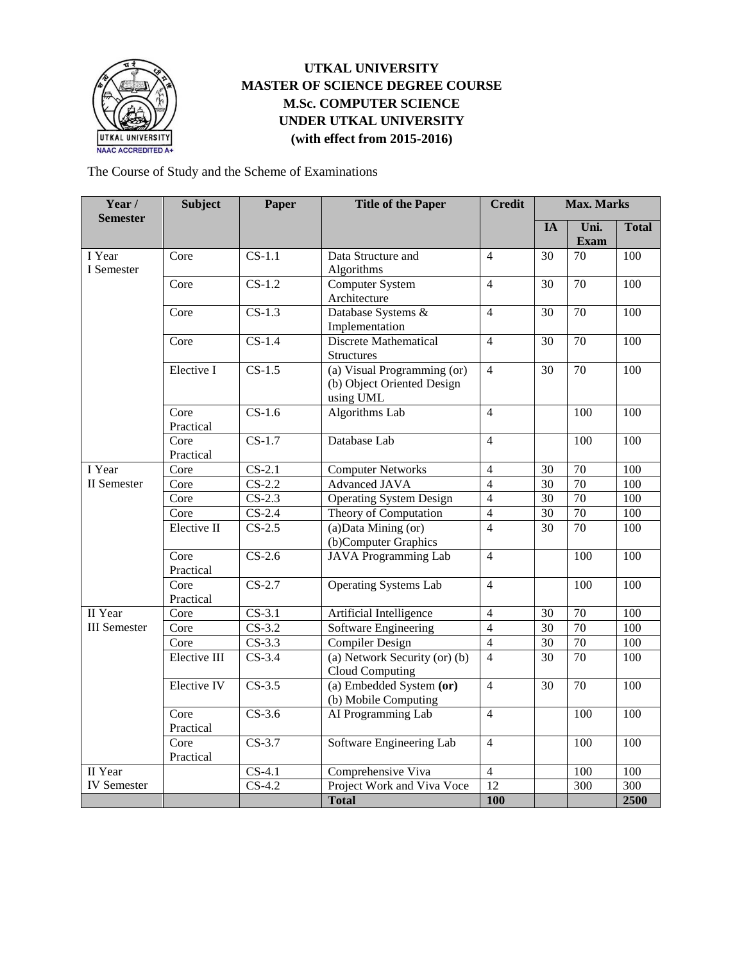

# **UTKAL UNIVERSITY MASTER OF SCIENCE DEGREE COURSE M.Sc. COMPUTER SCIENCE UNDER UTKAL UNIVERSITY (with effect from 2015-2016)**

The Course of Study and the Scheme of Examinations

| Year /<br><b>Semester</b>      | <b>Subject</b>    | Paper                      | <b>Title of the Paper</b>                                              | <b>Credit</b>   | <b>Max. Marks</b> |                     |                  |
|--------------------------------|-------------------|----------------------------|------------------------------------------------------------------------|-----------------|-------------------|---------------------|------------------|
|                                |                   |                            |                                                                        |                 | IA                | Uni.<br><b>Exam</b> | <b>Total</b>     |
| I Year<br>I Semester           | Core              | $CS-1.1$                   | Data Structure and<br>Algorithms                                       | $\overline{4}$  | 30                | $\overline{70}$     | $\overline{100}$ |
|                                | Core              | $CS-1.2$                   | Computer System<br>Architecture                                        | $\overline{4}$  | 30                | 70                  | 100              |
|                                | Core              | $CS-1.3$                   | Database Systems &<br>Implementation                                   | $\overline{4}$  | 30                | 70                  | 100              |
|                                | Core              | $CS-1.4$                   | <b>Discrete Mathematical</b><br><b>Structures</b>                      | $\overline{4}$  | 30                | 70                  | 100              |
|                                | Elective I        | $CS-1.5$                   | (a) Visual Programming (or)<br>(b) Object Oriented Design<br>using UML | $\overline{4}$  | 30                | 70                  | 100              |
|                                | Core<br>Practical | $CS-1.6$                   | <b>Algorithms Lab</b>                                                  | $\overline{4}$  |                   | 100                 | 100              |
|                                | Core<br>Practical | $CS-1.7$                   | Database Lab                                                           | $\overline{4}$  |                   | 100                 | 100              |
| I Year<br>II Semester          | Core              | $CS-2.1$                   | <b>Computer Networks</b>                                               | $\overline{4}$  | $\overline{30}$   | $\overline{70}$     | 100              |
|                                | Core              | $CS-2.2$                   | <b>Advanced JAVA</b>                                                   | $\overline{4}$  | 30                | 70                  | 100              |
|                                | Core              | $CS-2.3$                   | <b>Operating System Design</b>                                         | $\overline{4}$  | $\overline{30}$   | 70                  | 100              |
|                                | Core              | $CS-2.4$                   | Theory of Computation                                                  | $\overline{4}$  | 30                | $\overline{70}$     | 100              |
|                                | Elective II       | $CS-2.5$                   | $(a)$ Data Mining $(or)$<br>(b)Computer Graphics                       | $\overline{4}$  | $\overline{30}$   | 70                  | 100              |
|                                | Core<br>Practical | $CS-2.6$                   | <b>JAVA</b> Programming Lab                                            | $\overline{4}$  |                   | $\overline{100}$    | 100              |
|                                | Core<br>Practical | $CS-2.7$                   | <b>Operating Systems Lab</b>                                           | $\overline{4}$  |                   | 100                 | 100              |
| II Year<br><b>III</b> Semester | Core              | $CS-3.1$                   | Artificial Intelligence                                                | $\overline{4}$  | 30                | 70                  | 100              |
|                                | Core              | $CS-3.2$                   | Software Engineering                                                   | $\overline{4}$  | 30                | 70                  | 100              |
|                                | Core              | $CS-3.3$                   | <b>Compiler Design</b>                                                 | $\overline{4}$  | $\overline{30}$   | 70                  | $\overline{100}$ |
|                                | Elective III      | $CS-3.4$                   | (a) Network Security (or) (b)<br>Cloud Computing                       | $\overline{4}$  | 30                | 70                  | 100              |
|                                | Elective IV       | $CS-3.5$                   | (a) Embedded System (or)<br>(b) Mobile Computing                       | $\overline{4}$  | 30                | 70                  | $\overline{100}$ |
|                                | Core<br>Practical | $CS-3.6$                   | AI Programming Lab                                                     | $\overline{4}$  |                   | 100                 | 100              |
|                                | Core<br>Practical | $CS-3.7$                   | Software Engineering Lab                                               | $\overline{4}$  |                   | 100                 | 100              |
| II Year                        |                   | $CS-4.1$                   | Comprehensive Viva                                                     | $\overline{4}$  |                   | 100                 | 100              |
| <b>IV</b> Semester             |                   | $\overline{\text{CS-4.2}}$ | Project Work and Viva Voce                                             | $\overline{12}$ |                   | $\overline{300}$    | 300              |
|                                |                   |                            | <b>Total</b>                                                           | 100             |                   |                     | 2500             |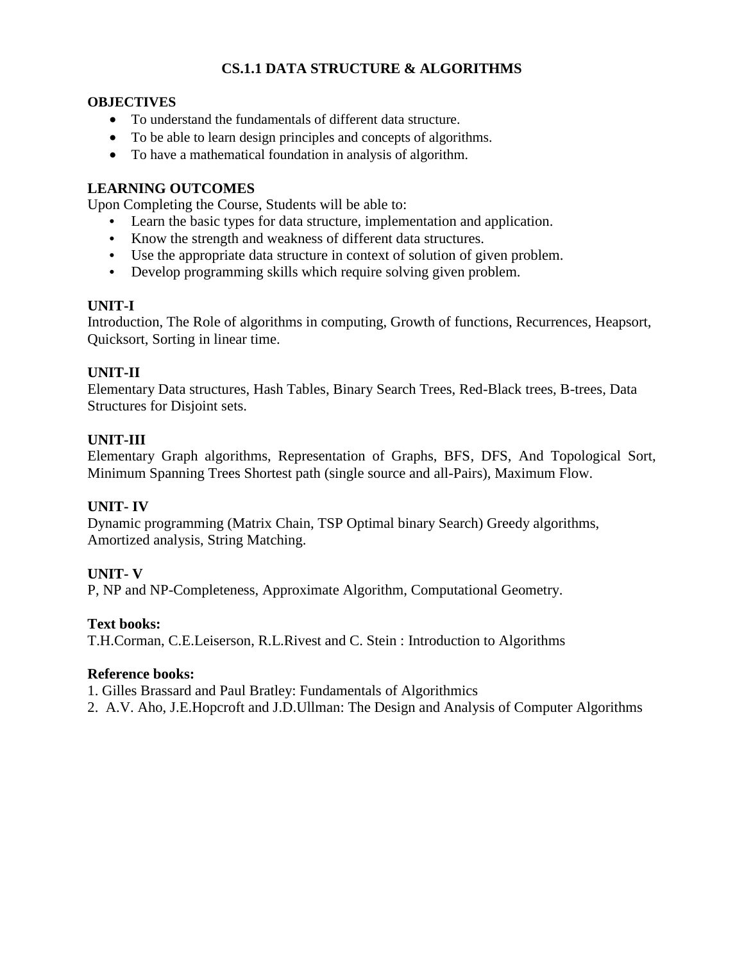# **CS.1.1 DATA STRUCTURE & ALGORITHMS**

## **OBJECTIVES**

- To understand the fundamentals of different data structure.
- To be able to learn design principles and concepts of algorithms.
- To have a mathematical foundation in analysis of algorithm.

## **LEARNING OUTCOMES**

Upon Completing the Course, Students will be able to:

- **•** Learn the basic types for data structure, implementation and application.
- **•** Know the strength and weakness of different data structures.
- **•** Use the appropriate data structure in context of solution of given problem.
- **•** Develop programming skills which require solving given problem.

#### **UNIT-I**

Introduction, The Role of algorithms in computing, Growth of functions, Recurrences, Heapsort, Quicksort, Sorting in linear time.

## **UNIT-II**

Elementary Data structures, Hash Tables, Binary Search Trees, Red-Black trees, B-trees, Data Structures for Disjoint sets.

## **UNIT-III**

Elementary Graph algorithms, Representation of Graphs, BFS, DFS, And Topological Sort, Minimum Spanning Trees Shortest path (single source and all-Pairs), Maximum Flow.

#### **UNIT- IV**

Dynamic programming (Matrix Chain, TSP Optimal binary Search) Greedy algorithms, Amortized analysis, String Matching.

#### **UNIT- V**

P, NP and NP-Completeness, Approximate Algorithm, Computational Geometry.

#### **Text books:**

T.H.Corman, C.E.Leiserson, R.L.Rivest and C. Stein : Introduction to Algorithms

#### **Reference books:**

1. Gilles Brassard and Paul Bratley: Fundamentals of Algorithmics

2. A.V. Aho, J.E.Hopcroft and J.D.Ullman: The Design and Analysis of Computer Algorithms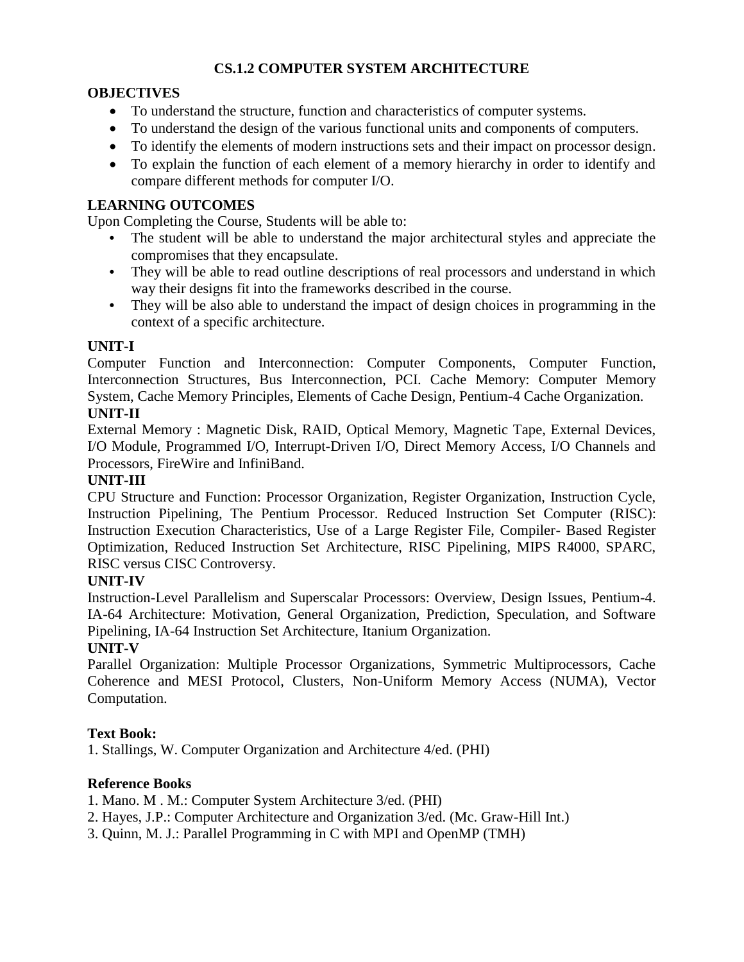# **CS.1.2 COMPUTER SYSTEM ARCHITECTURE**

## **OBJECTIVES**

- To understand the structure, function and characteristics of computer systems.
- To understand the design of the various functional units and components of computers.
- To identify the elements of modern instructions sets and their impact on processor design.
- To explain the function of each element of a memory hierarchy in order to identify and compare different methods for computer I/O.

## **LEARNING OUTCOMES**

Upon Completing the Course, Students will be able to:

- **•** The student will be able to understand the major architectural styles and appreciate the compromises that they encapsulate.
- **•** They will be able to read outline descriptions of real processors and understand in which way their designs fit into the frameworks described in the course.
- **•** They will be also able to understand the impact of design choices in programming in the context of a specific architecture.

## **UNIT-I**

Computer Function and Interconnection: Computer Components, Computer Function, Interconnection Structures, Bus Interconnection, PCI. Cache Memory: Computer Memory System, Cache Memory Principles, Elements of Cache Design, Pentium-4 Cache Organization.

## **UNIT-II**

External Memory : Magnetic Disk, RAID, Optical Memory, Magnetic Tape, External Devices, I/O Module, Programmed I/O, Interrupt-Driven I/O, Direct Memory Access, I/O Channels and Processors, FireWire and InfiniBand.

## **UNIT-III**

CPU Structure and Function: Processor Organization, Register Organization, Instruction Cycle, Instruction Pipelining, The Pentium Processor. Reduced Instruction Set Computer (RISC): Instruction Execution Characteristics, Use of a Large Register File, Compiler- Based Register Optimization, Reduced Instruction Set Architecture, RISC Pipelining, MIPS R4000, SPARC, RISC versus CISC Controversy.

#### **UNIT-IV**

Instruction-Level Parallelism and Superscalar Processors: Overview, Design Issues, Pentium-4. IA-64 Architecture: Motivation, General Organization, Prediction, Speculation, and Software Pipelining, IA-64 Instruction Set Architecture, Itanium Organization.

# **UNIT-V**

Parallel Organization: Multiple Processor Organizations, Symmetric Multiprocessors, Cache Coherence and MESI Protocol, Clusters, Non-Uniform Memory Access (NUMA), Vector Computation.

#### **Text Book:**

1. Stallings, W. Computer Organization and Architecture 4/ed. (PHI)

# **Reference Books**

1. Mano. M . M.: Computer System Architecture 3/ed. (PHI)

- 2. Hayes, J.P.: Computer Architecture and Organization 3/ed. (Mc. Graw-Hill Int.)
- 3. Quinn, M. J.: Parallel Programming in C with MPI and OpenMP (TMH)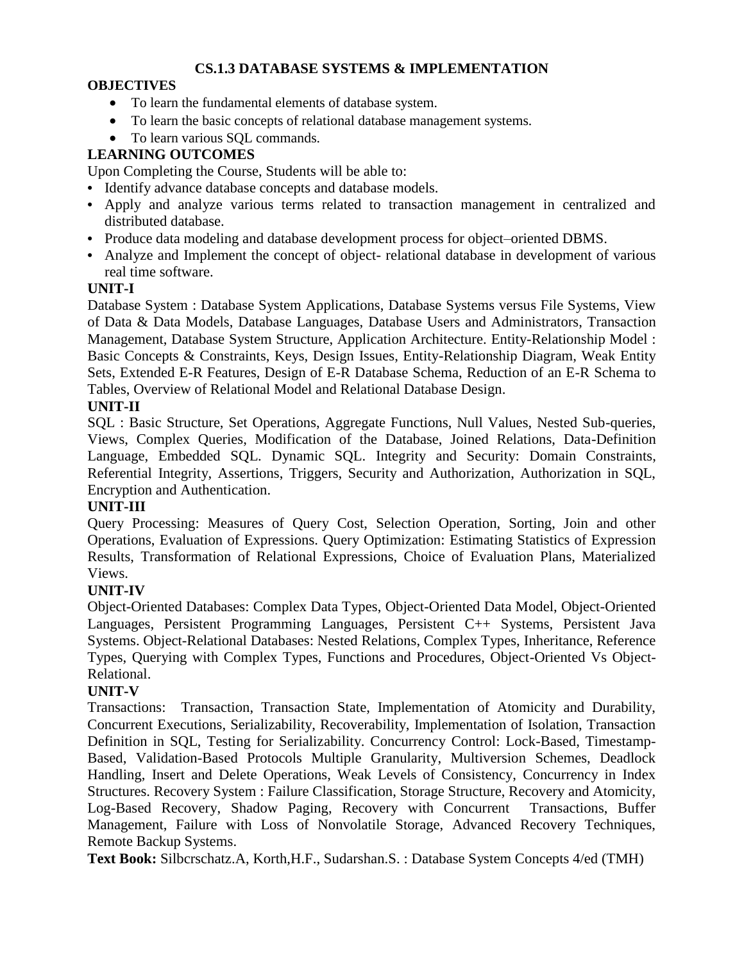# **CS.1.3 DATABASE SYSTEMS & IMPLEMENTATION**

# **OBJECTIVES**

- To learn the fundamental elements of database system.
- To learn the basic concepts of relational database management systems.
- To learn various SQL commands.

# **LEARNING OUTCOMES**

Upon Completing the Course, Students will be able to:

- **•** Identify advance database concepts and database models.
- **•** Apply and analyze various terms related to transaction management in centralized and distributed database.
- **•** Produce data modeling and database development process for object–oriented DBMS.
- Analyze and Implement the concept of object- relational database in development of various real time software.

## **UNIT-I**

Database System : Database System Applications, Database Systems versus File Systems, View of Data & Data Models, Database Languages, Database Users and Administrators, Transaction Management, Database System Structure, Application Architecture. Entity-Relationship Model : Basic Concepts & Constraints, Keys, Design Issues, Entity-Relationship Diagram, Weak Entity Sets, Extended E-R Features, Design of E-R Database Schema, Reduction of an E-R Schema to Tables, Overview of Relational Model and Relational Database Design.

## **UNIT-II**

SQL : Basic Structure, Set Operations, Aggregate Functions, Null Values, Nested Sub-queries, Views, Complex Queries, Modification of the Database, Joined Relations, Data-Definition Language, Embedded SQL. Dynamic SQL. Integrity and Security: Domain Constraints, Referential Integrity, Assertions, Triggers, Security and Authorization, Authorization in SQL, Encryption and Authentication.

# **UNIT-III**

Query Processing: Measures of Query Cost, Selection Operation, Sorting, Join and other Operations, Evaluation of Expressions. Query Optimization: Estimating Statistics of Expression Results, Transformation of Relational Expressions, Choice of Evaluation Plans, Materialized Views.

# **UNIT-IV**

Object-Oriented Databases: Complex Data Types, Object-Oriented Data Model, Object-Oriented Languages, Persistent Programming Languages, Persistent C++ Systems, Persistent Java Systems. Object-Relational Databases: Nested Relations, Complex Types, Inheritance, Reference Types, Querying with Complex Types, Functions and Procedures, Object-Oriented Vs Object-Relational.

## **UNIT-V**

Transactions: Transaction, Transaction State, Implementation of Atomicity and Durability, Concurrent Executions, Serializability, Recoverability, Implementation of Isolation, Transaction Definition in SQL, Testing for Serializability. Concurrency Control: Lock-Based, Timestamp-Based, Validation-Based Protocols Multiple Granularity, Multiversion Schemes, Deadlock Handling, Insert and Delete Operations, Weak Levels of Consistency, Concurrency in Index Structures. Recovery System : Failure Classification, Storage Structure, Recovery and Atomicity, Log-Based Recovery, Shadow Paging, Recovery with Concurrent Transactions, Buffer Management, Failure with Loss of Nonvolatile Storage, Advanced Recovery Techniques, Remote Backup Systems.

**Text Book:** Silbcrschatz.A, Korth,H.F., Sudarshan.S. : Database System Concepts 4/ed (TMH)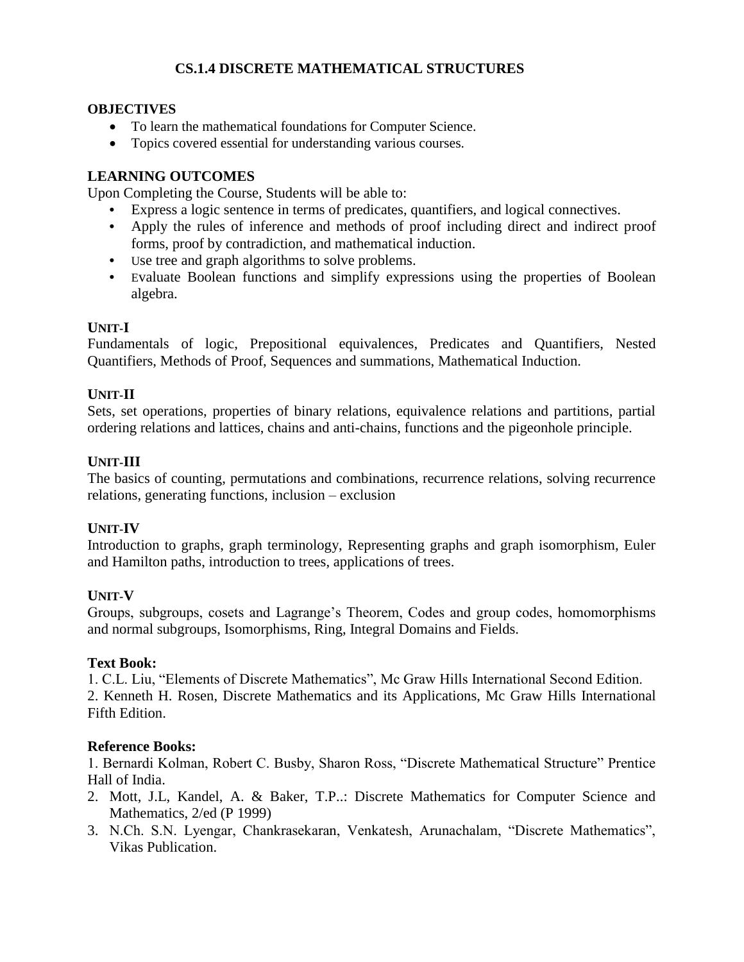# **CS.1.4 DISCRETE MATHEMATICAL STRUCTURES**

### **OBJECTIVES**

- To learn the mathematical foundations for Computer Science.
- Topics covered essential for understanding various courses.

# **LEARNING OUTCOMES**

Upon Completing the Course, Students will be able to:

- **•** Express a logic sentence in terms of predicates, quantifiers, and logical connectives.
- **•** Apply the rules of inference and methods of proof including direct and indirect proof forms, proof by contradiction, and mathematical induction.
- **•** Use tree and graph algorithms to solve problems.
- **•** Evaluate Boolean functions and simplify expressions using the properties of Boolean algebra.

# **UNIT-I**

Fundamentals of logic, Prepositional equivalences, Predicates and Quantifiers, Nested Quantifiers, Methods of Proof, Sequences and summations, Mathematical Induction.

# **UNIT-II**

Sets, set operations, properties of binary relations, equivalence relations and partitions, partial ordering relations and lattices, chains and anti-chains, functions and the pigeonhole principle.

# **UNIT-III**

The basics of counting, permutations and combinations, recurrence relations, solving recurrence relations, generating functions, inclusion – exclusion

# **UNIT-IV**

Introduction to graphs, graph terminology, Representing graphs and graph isomorphism, Euler and Hamilton paths, introduction to trees, applications of trees.

# **UNIT-V**

Groups, subgroups, cosets and Lagrange's Theorem, Codes and group codes, homomorphisms and normal subgroups, Isomorphisms, Ring, Integral Domains and Fields.

#### **Text Book:**

1. C.L. Liu, "Elements of Discrete Mathematics", Mc Graw Hills International Second Edition. 2. Kenneth H. Rosen, Discrete Mathematics and its Applications, Mc Graw Hills International Fifth Edition.

# **Reference Books:**

1. Bernardi Kolman, Robert C. Busby, Sharon Ross, "Discrete Mathematical Structure" Prentice Hall of India.

- 2. Mott, J.L, Kandel, A. & Baker, T.P..: Discrete Mathematics for Computer Science and Mathematics, 2/ed (P 1999)
- 3. N.Ch. S.N. Lyengar, Chankrasekaran, Venkatesh, Arunachalam, "Discrete Mathematics", Vikas Publication.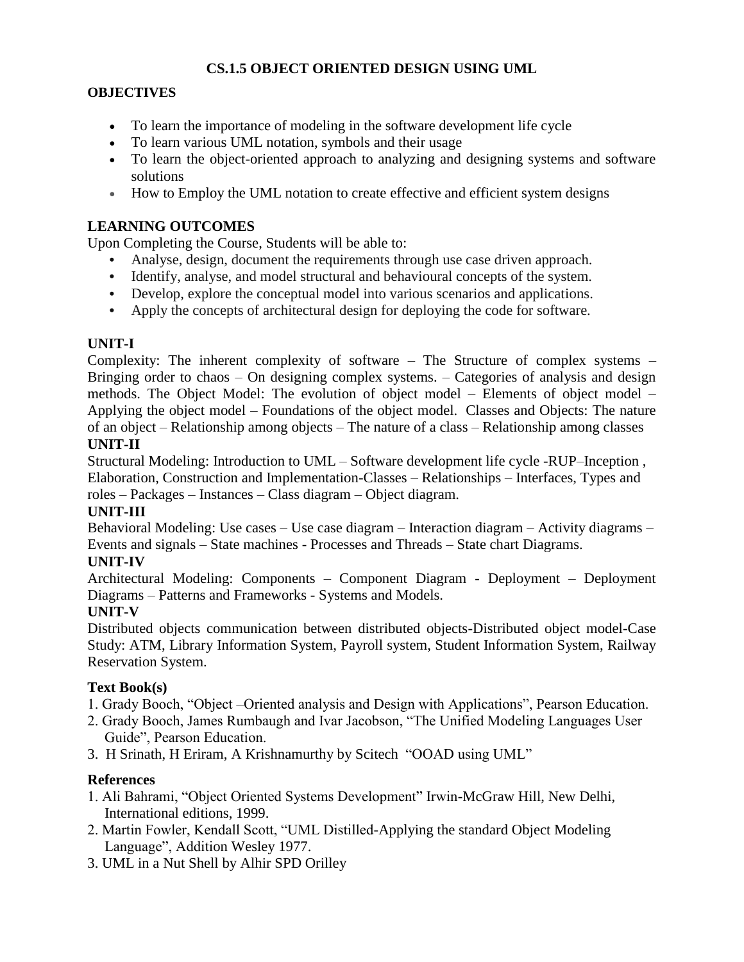# **CS.1.5 OBJECT ORIENTED DESIGN USING UML**

## **OBJECTIVES**

- To learn the importance of modeling in the software development life cycle
- To learn various UML notation, symbols and their usage
- To learn the object-oriented approach to analyzing and designing systems and software solutions
- How to Employ the UML notation to create effective and efficient system designs

## **LEARNING OUTCOMES**

Upon Completing the Course, Students will be able to:

- **•** Analyse, design, document the requirements through use case driven approach.
- **•** Identify, analyse, and model structural and behavioural concepts of the system.
- **•** Develop, explore the conceptual model into various scenarios and applications.
- **•** Apply the concepts of architectural design for deploying the code for software.

## **UNIT-I**

Complexity: The inherent complexity of software – The Structure of complex systems – Bringing order to chaos – On designing complex systems. – Categories of analysis and design methods. The Object Model: The evolution of object model – Elements of object model – Applying the object model – Foundations of the object model. Classes and Objects: The nature of an object – Relationship among objects – The nature of a class – Relationship among classes **UNIT-II**

Structural Modeling: Introduction to UML – Software development life cycle -RUP–Inception , Elaboration, Construction and Implementation-Classes – Relationships – Interfaces, Types and roles – Packages – Instances – Class diagram – Object diagram.

# **UNIT-III**

Behavioral Modeling: Use cases – Use case diagram – Interaction diagram – Activity diagrams – Events and signals – State machines - Processes and Threads – State chart Diagrams.

#### **UNIT-IV**

Architectural Modeling: Components – Component Diagram - Deployment – Deployment Diagrams – Patterns and Frameworks - Systems and Models.

# **UNIT-V**

Distributed objects communication between distributed objects-Distributed object model-Case Study: ATM, Library Information System, Payroll system, Student Information System, Railway Reservation System.

#### **Text Book(s)**

- 1. Grady Booch, "Object –Oriented analysis and Design with Applications", Pearson Education.
- 2. Grady Booch, James Rumbaugh and Ivar Jacobson, "The Unified Modeling Languages User Guide", Pearson Education.
- 3. H Srinath, H Eriram, A Krishnamurthy by Scitech "OOAD using UML"

# **References**

- 1. Ali Bahrami, "Object Oriented Systems Development" Irwin-McGraw Hill, New Delhi, International editions, 1999.
- 2. Martin Fowler, Kendall Scott, "UML Distilled-Applying the standard Object Modeling Language", Addition Wesley 1977.
- 3. UML in a Nut Shell by Alhir SPD Orilley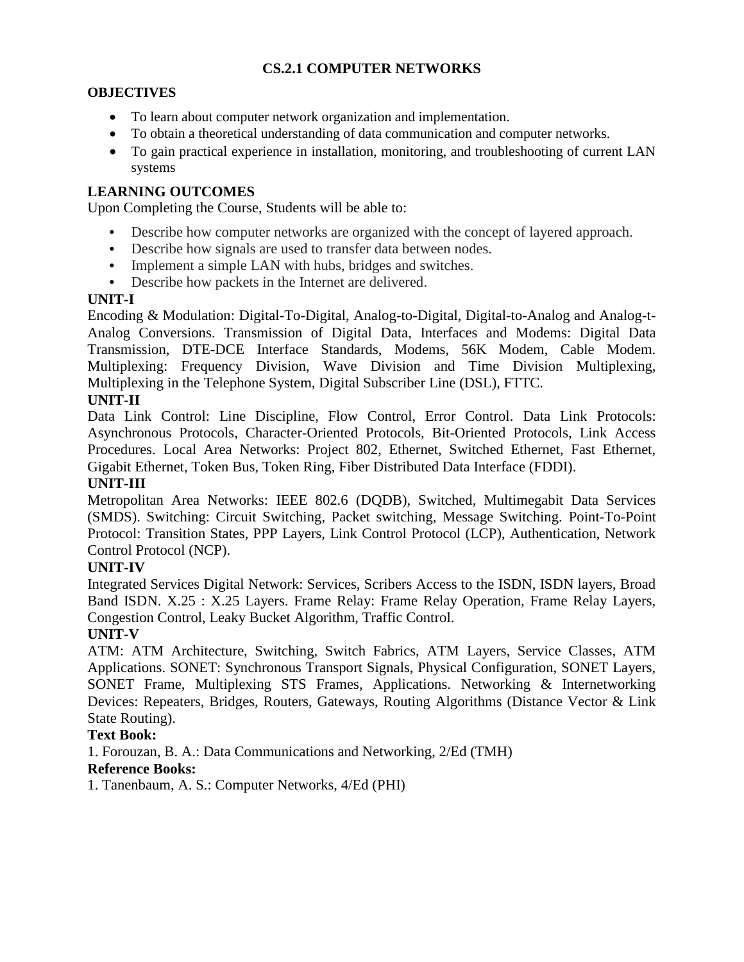# **CS.2.1 COMPUTER NETWORKS**

## **OBJECTIVES**

- To learn about computer network organization and implementation.
- To obtain a theoretical understanding of data communication and computer networks.
- To gain practical experience in installation, monitoring, and troubleshooting of current LAN systems

## **LEARNING OUTCOMES**

Upon Completing the Course, Students will be able to:

- **•** Describe how computer networks are organized with the concept of layered approach.
- **•** Describe how signals are used to transfer data between nodes.
- **•** Implement a simple LAN with hubs, bridges and switches.
- **•** Describe how packets in the Internet are delivered.

#### **UNIT-I**

Encoding & Modulation: Digital-To-Digital, Analog-to-Digital, Digital-to-Analog and Analog-t-Analog Conversions. Transmission of Digital Data, Interfaces and Modems: Digital Data Transmission, DTE-DCE Interface Standards, Modems, 56K Modem, Cable Modem. Multiplexing: Frequency Division, Wave Division and Time Division Multiplexing, Multiplexing in the Telephone System, Digital Subscriber Line (DSL), FTTC.

## **UNIT-II**

Data Link Control: Line Discipline, Flow Control, Error Control. Data Link Protocols: Asynchronous Protocols, Character-Oriented Protocols, Bit-Oriented Protocols, Link Access Procedures. Local Area Networks: Project 802, Ethernet, Switched Ethernet, Fast Ethernet, Gigabit Ethernet, Token Bus, Token Ring, Fiber Distributed Data Interface (FDDI).

#### **UNIT-III**

Metropolitan Area Networks: IEEE 802.6 (DQDB), Switched, Multimegabit Data Services (SMDS). Switching: Circuit Switching, Packet switching, Message Switching. Point-To-Point Protocol: Transition States, PPP Layers, Link Control Protocol (LCP), Authentication, Network Control Protocol (NCP).

#### **UNIT-IV**

Integrated Services Digital Network: Services, Scribers Access to the ISDN, ISDN layers, Broad Band ISDN. X.25 : X.25 Layers. Frame Relay: Frame Relay Operation, Frame Relay Layers, Congestion Control, Leaky Bucket Algorithm, Traffic Control.

#### **UNIT-V**

ATM: ATM Architecture, Switching, Switch Fabrics, ATM Layers, Service Classes, ATM Applications. SONET: Synchronous Transport Signals, Physical Configuration, SONET Layers, SONET Frame, Multiplexing STS Frames, Applications. Networking & Internetworking Devices: Repeaters, Bridges, Routers, Gateways, Routing Algorithms (Distance Vector & Link State Routing).

#### **Text Book:**

1. Forouzan, B. A.: Data Communications and Networking, 2/Ed (TMH)

#### **Reference Books:**

1. Tanenbaum, A. S.: Computer Networks, 4/Ed (PHI)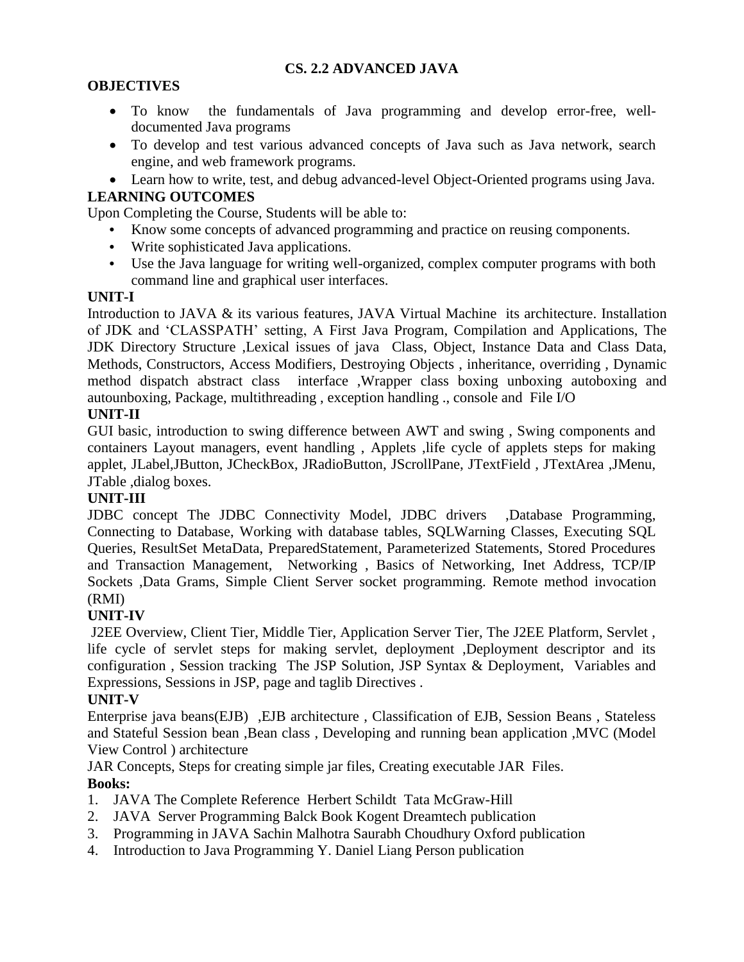# **CS. 2.2 ADVANCED JAVA**

# **OBJECTIVES**

- To know the fundamentals of Java programming and develop error-free, welldocumented Java programs
- To develop and test various advanced concepts of Java such as Java network, search engine, and web framework programs.
- Learn how to write, test, and debug advanced-level Object-Oriented programs using Java.

# **LEARNING OUTCOMES**

Upon Completing the Course, Students will be able to:

- **•** Know some concepts of advanced programming and practice on reusing components.
- Write sophisticated Java applications.
- **•** Use the Java language for writing well-organized, complex computer programs with both command line and graphical user interfaces.

# **UNIT-I**

Introduction to JAVA & its various features, JAVA Virtual Machine its architecture. Installation of JDK and 'CLASSPATH' setting, A First Java Program, Compilation and Applications, The JDK Directory Structure ,Lexical issues of java Class, Object, Instance Data and Class Data, Methods, Constructors, Access Modifiers, Destroying Objects , inheritance, overriding , Dynamic method dispatch abstract class interface ,Wrapper class boxing unboxing autoboxing and autounboxing, Package, multithreading , exception handling ., console and File I/O

# **UNIT-II**

GUI basic, introduction to swing difference between AWT and swing , Swing components and containers Layout managers, event handling, Applets, life cycle of applets steps for making applet, JLabel,JButton, JCheckBox, JRadioButton, JScrollPane, JTextField , JTextArea ,JMenu, JTable ,dialog boxes.

# **UNIT-III**

JDBC concept The JDBC Connectivity Model, JDBC drivers ,Database Programming, Connecting to Database, Working with database tables, SQLWarning Classes, Executing SQL Queries, ResultSet MetaData, PreparedStatement, Parameterized Statements, Stored Procedures and Transaction Management, Networking , Basics of Networking, Inet Address, TCP/IP Sockets ,Data Grams, Simple Client Server socket programming. Remote method invocation (RMI)

# **UNIT-IV**

J2EE Overview, Client Tier, Middle Tier, Application Server Tier, The J2EE Platform, Servlet , life cycle of servlet steps for making servlet, deployment ,Deployment descriptor and its configuration , Session tracking The JSP Solution, JSP Syntax & Deployment, Variables and Expressions, Sessions in JSP, page and taglib Directives .

# **UNIT-V**

Enterprise java beans(EJB) ,EJB architecture , Classification of EJB, Session Beans , Stateless and Stateful Session bean ,Bean class , Developing and running bean application ,MVC (Model View Control ) architecture

JAR Concepts, Steps for creating simple jar files, Creating executable JAR Files. **Books:**

- 1. JAVA The Complete Reference Herbert Schildt Tata McGraw-Hill
- 2. JAVA Server Programming Balck Book Kogent Dreamtech publication
- 3. Programming in JAVA Sachin Malhotra Saurabh Choudhury Oxford publication
- 4. Introduction to Java Programming Y. Daniel Liang Person publication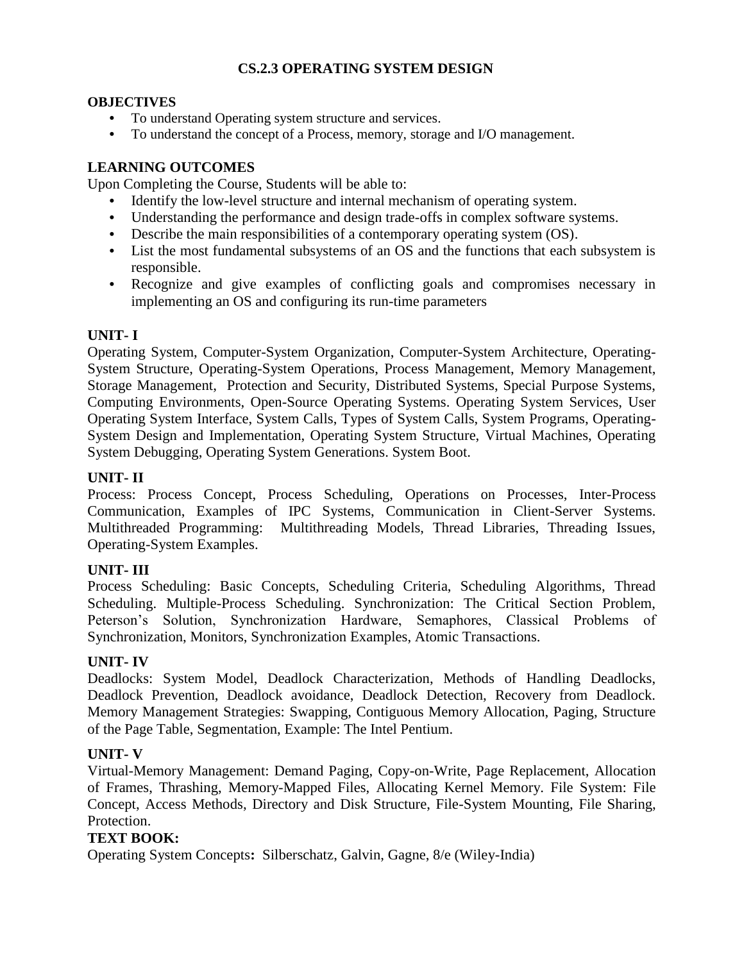# **CS.2.3 OPERATING SYSTEM DESIGN**

### **OBJECTIVES**

- **•** To understand Operating system structure and services.
- **•** To understand the concept of a Process, memory, storage and I/O management.

# **LEARNING OUTCOMES**

Upon Completing the Course, Students will be able to:

- **•** Identify the low-level structure and internal mechanism of operating system.
- **•** Understanding the performance and design trade-offs in complex software systems.
- **•** Describe the main responsibilities of a contemporary operating system (OS).
- **•** List the most fundamental subsystems of an OS and the functions that each subsystem is responsible.
- **•** Recognize and give examples of conflicting goals and compromises necessary in implementing an OS and configuring its run-time parameters

## **UNIT- I**

Operating System, Computer-System Organization, Computer-System Architecture, Operating-System Structure, Operating-System Operations, Process Management, Memory Management, Storage Management, Protection and Security, Distributed Systems, Special Purpose Systems, Computing Environments, Open-Source Operating Systems. Operating System Services, User Operating System Interface, System Calls, Types of System Calls, System Programs, Operating-System Design and Implementation, Operating System Structure, Virtual Machines, Operating System Debugging, Operating System Generations. System Boot.

## **UNIT- II**

Process: Process Concept, Process Scheduling, Operations on Processes, Inter-Process Communication, Examples of IPC Systems, Communication in Client-Server Systems. Multithreaded Programming: Multithreading Models, Thread Libraries, Threading Issues, Operating-System Examples.

## **UNIT- III**

Process Scheduling: Basic Concepts, Scheduling Criteria, Scheduling Algorithms, Thread Scheduling. Multiple-Process Scheduling. Synchronization: The Critical Section Problem, Peterson's Solution, Synchronization Hardware, Semaphores, Classical Problems of Synchronization, Monitors, Synchronization Examples, Atomic Transactions.

#### **UNIT- IV**

Deadlocks: System Model, Deadlock Characterization, Methods of Handling Deadlocks, Deadlock Prevention, Deadlock avoidance, Deadlock Detection, Recovery from Deadlock. Memory Management Strategies: Swapping, Contiguous Memory Allocation, Paging, Structure of the Page Table, Segmentation, Example: The Intel Pentium.

#### **UNIT- V**

Virtual-Memory Management: Demand Paging, Copy-on-Write, Page Replacement, Allocation of Frames, Thrashing, Memory-Mapped Files, Allocating Kernel Memory. File System: File Concept, Access Methods, Directory and Disk Structure, File-System Mounting, File Sharing, Protection.

#### **TEXT BOOK:**

Operating System Concepts**:** Silberschatz, Galvin, Gagne, 8/e (Wiley-India)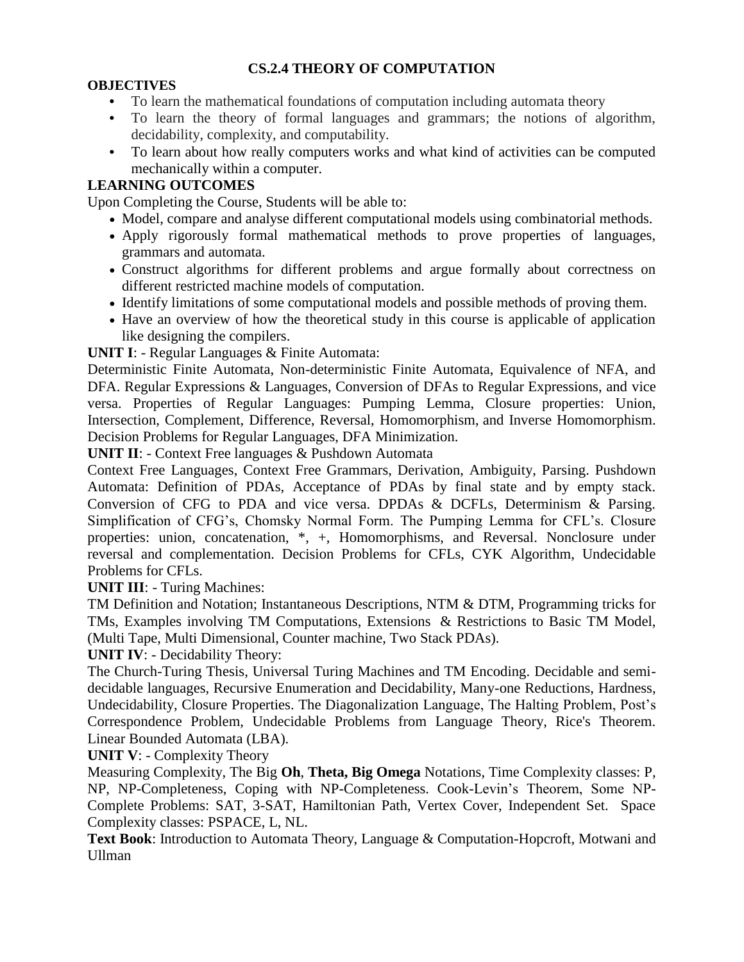# **CS.2.4 THEORY OF COMPUTATION**

## **OBJECTIVES**

- **•** To learn the mathematical foundations of computation including automata theory
- **•** To learn the theory of formal languages and grammars; the notions of algorithm, decidability, complexity, and computability.
- **•** To learn about how really computers works and what kind of activities can be computed mechanically within a computer.

# **LEARNING OUTCOMES**

Upon Completing the Course, Students will be able to:

- Model, compare and analyse different computational models using combinatorial methods.
- Apply rigorously formal mathematical methods to prove properties of languages, grammars and automata.
- Construct algorithms for different problems and argue formally about correctness on different restricted machine models of computation.
- Identify limitations of some computational models and possible methods of proving them.
- Have an overview of how the theoretical study in this course is applicable of application like designing the compilers.

**UNIT I**: - Regular Languages & Finite Automata:

Deterministic Finite Automata, Non-deterministic Finite Automata, Equivalence of NFA, and DFA. Regular Expressions & Languages, Conversion of DFAs to Regular Expressions, and vice versa. Properties of Regular Languages: Pumping Lemma, Closure properties: Union, Intersection, Complement, Difference, Reversal, Homomorphism, and Inverse Homomorphism. Decision Problems for Regular Languages, DFA Minimization.

**UNIT II**: - Context Free languages & Pushdown Automata

Context Free Languages, Context Free Grammars, Derivation, Ambiguity, Parsing. Pushdown Automata: Definition of PDAs, Acceptance of PDAs by final state and by empty stack. Conversion of CFG to PDA and vice versa. DPDAs & DCFLs, Determinism & Parsing. Simplification of CFG's, Chomsky Normal Form. The Pumping Lemma for CFL's. Closure properties: union, concatenation, \*, +, Homomorphisms, and Reversal. Nonclosure under reversal and complementation. Decision Problems for CFLs, CYK Algorithm, Undecidable Problems for CFLs.

**UNIT III**: - Turing Machines:

TM Definition and Notation; Instantaneous Descriptions, NTM & DTM, Programming tricks for TMs, Examples involving TM Computations, Extensions & Restrictions to Basic TM Model, (Multi Tape, Multi Dimensional, Counter machine, Two Stack PDAs).

**UNIT IV**: - Decidability Theory:

The Church-Turing Thesis, Universal Turing Machines and TM Encoding. Decidable and semidecidable languages, Recursive Enumeration and Decidability, Many-one Reductions, Hardness, Undecidability, Closure Properties. The Diagonalization Language, The Halting Problem, Post's Correspondence Problem, Undecidable Problems from Language Theory, Rice's Theorem. Linear Bounded Automata (LBA).

**UNIT V**: - Complexity Theory

Measuring Complexity, The Big **Oh**, **Theta, Big Omega** Notations, Time Complexity classes: P, NP, NP-Completeness, Coping with NP-Completeness. Cook-Levin's Theorem, Some NP-Complete Problems: SAT, 3-SAT, Hamiltonian Path, Vertex Cover, Independent Set. Space Complexity classes: PSPACE, L, NL.

**Text Book**: Introduction to Automata Theory, Language & Computation-Hopcroft, Motwani and Ullman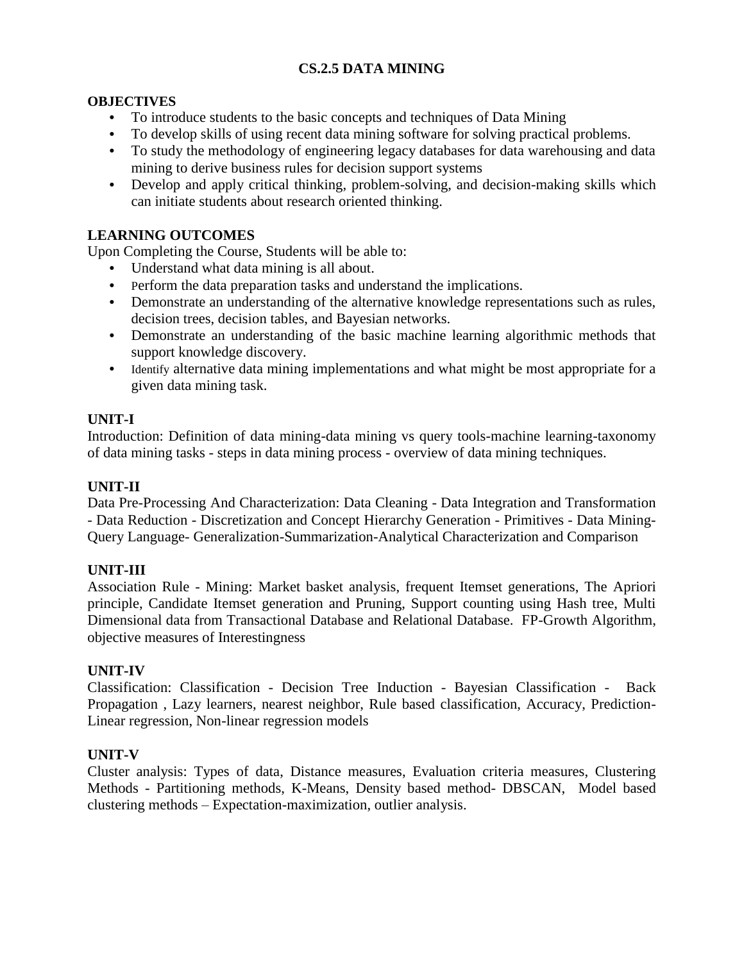# **CS.2.5 DATA MINING**

# **OBJECTIVES**

- **•** To introduce students to the basic concepts and techniques of Data Mining
- **•** To develop skills of using recent data mining software for solving practical problems.
- **•** To study the methodology of engineering legacy databases for data warehousing and data mining to derive business rules for decision support systems
- **•** Develop and apply critical thinking, problem-solving, and decision-making skills which can initiate students about research oriented thinking.

# **LEARNING OUTCOMES**

Upon Completing the Course, Students will be able to:

- **•** Understand what data mining is all about.
- **•** Perform the data preparation tasks and understand the implications.
- **•** Demonstrate an understanding of the alternative knowledge representations such as rules, decision trees, decision tables, and Bayesian networks.
- **•** Demonstrate an understanding of the basic machine learning algorithmic methods that support knowledge discovery.
- **•** Identify alternative data mining implementations and what might be most appropriate for a given data mining task.

# **UNIT-I**

Introduction: Definition of data mining-data mining vs query tools-machine learning-taxonomy of data mining tasks - steps in data mining process - overview of data mining techniques.

## **UNIT-II**

Data Pre-Processing And Characterization: Data Cleaning - Data Integration and Transformation - Data Reduction - Discretization and Concept Hierarchy Generation - Primitives - Data Mining-Query Language- Generalization-Summarization-Analytical Characterization and Comparison

# **UNIT-III**

Association Rule - Mining: Market basket analysis, frequent Itemset generations, The Apriori principle, Candidate Itemset generation and Pruning, Support counting using Hash tree, Multi Dimensional data from Transactional Database and Relational Database. FP-Growth Algorithm, objective measures of Interestingness

#### **UNIT-IV**

Classification: Classification - Decision Tree Induction - Bayesian Classification - Back Propagation , Lazy learners, nearest neighbor, Rule based classification, Accuracy, Prediction-Linear regression, Non-linear regression models

#### **UNIT-V**

Cluster analysis: Types of data, Distance measures, Evaluation criteria measures, Clustering Methods - Partitioning methods, K-Means, Density based method- DBSCAN, Model based clustering methods – Expectation-maximization, outlier analysis.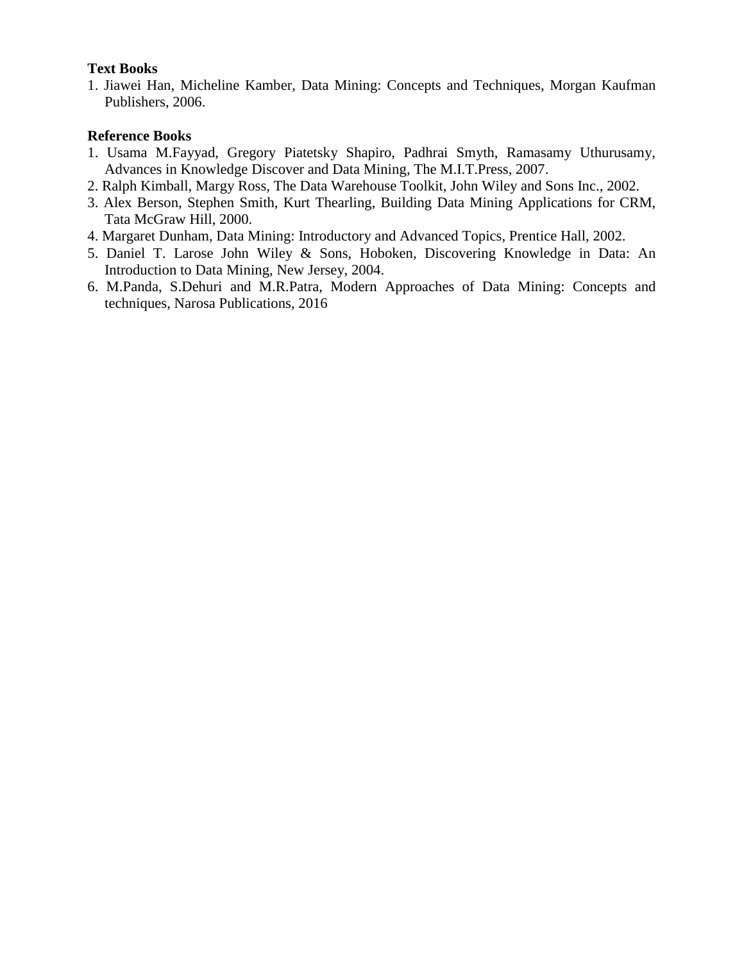## **Text Books**

1. Jiawei Han, Micheline Kamber, Data Mining: Concepts and Techniques, Morgan Kaufman Publishers, 2006.

## **Reference Books**

- 1. Usama M.Fayyad, Gregory Piatetsky Shapiro, Padhrai Smyth, Ramasamy Uthurusamy, Advances in Knowledge Discover and Data Mining, The M.I.T.Press, 2007.
- 2. Ralph Kimball, Margy Ross, The Data Warehouse Toolkit, John Wiley and Sons Inc., 2002.
- 3. Alex Berson, Stephen Smith, Kurt Thearling, Building Data Mining Applications for CRM, Tata McGraw Hill, 2000.
- 4. Margaret Dunham, Data Mining: Introductory and Advanced Topics, Prentice Hall, 2002.
- 5. Daniel T. Larose John Wiley & Sons, Hoboken, Discovering Knowledge in Data: An Introduction to Data Mining, New Jersey, 2004.
- 6. M.Panda, S.Dehuri and M.R.Patra, Modern Approaches of Data Mining: Concepts and techniques, Narosa Publications, 2016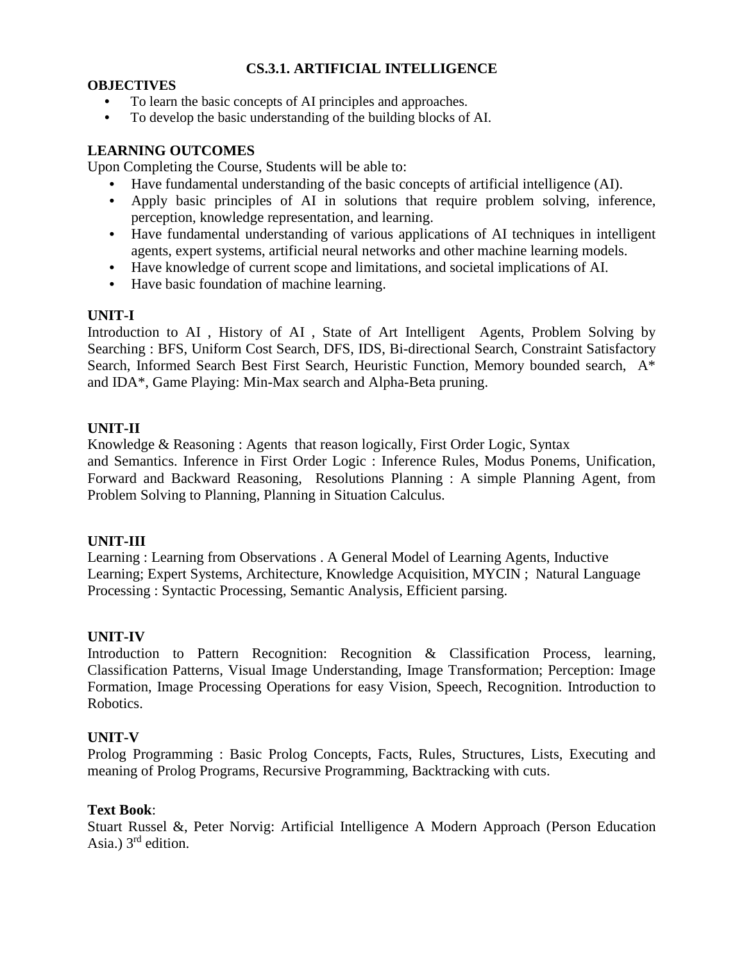## **CS.3.1. ARTIFICIAL INTELLIGENCE**

### **OBJECTIVES**

- **•** To learn the basic concepts of AI principles and approaches.
- **•** To develop the basic understanding of the building blocks of AI.

# **LEARNING OUTCOMES**

Upon Completing the Course, Students will be able to:

- **•** Have fundamental understanding of the basic concepts of artificial intelligence (AI).
- **•** Apply basic principles of AI in solutions that require problem solving, inference, perception, knowledge representation, and learning.
- **•** Have fundamental understanding of various applications of AI techniques in intelligent agents, expert systems, artificial neural networks and other machine learning models.
- **•** Have knowledge of current scope and limitations, and societal implications of AI.
- **•** Have basic foundation of machine learning.

# **UNIT-I**

Introduction to AI , History of AI , State of Art Intelligent Agents, Problem Solving by Searching : BFS, Uniform Cost Search, DFS, IDS, Bi-directional Search, Constraint Satisfactory Search, Informed Search Best First Search, Heuristic Function, Memory bounded search, A\* and IDA\*, Game Playing: Min-Max search and Alpha-Beta pruning.

# **UNIT-II**

Knowledge & Reasoning : Agents that reason logically, First Order Logic, Syntax and Semantics. Inference in First Order Logic : Inference Rules, Modus Ponems, Unification, Forward and Backward Reasoning, Resolutions Planning : A simple Planning Agent, from Problem Solving to Planning, Planning in Situation Calculus.

# **UNIT-III**

Learning : Learning from Observations . A General Model of Learning Agents, Inductive Learning; Expert Systems, Architecture, Knowledge Acquisition, MYCIN ; Natural Language Processing : Syntactic Processing, Semantic Analysis, Efficient parsing.

# **UNIT-IV**

Introduction to Pattern Recognition: Recognition & Classification Process, learning, Classification Patterns, Visual Image Understanding, Image Transformation; Perception: Image Formation, Image Processing Operations for easy Vision, Speech, Recognition. Introduction to Robotics.

#### **UNIT-V**

Prolog Programming : Basic Prolog Concepts, Facts, Rules, Structures, Lists, Executing and meaning of Prolog Programs, Recursive Programming, Backtracking with cuts.

### **Text Book**:

Stuart Russel &, Peter Norvig: Artificial Intelligence A Modern Approach (Person Education Asia.)  $3^{rd}$  edition.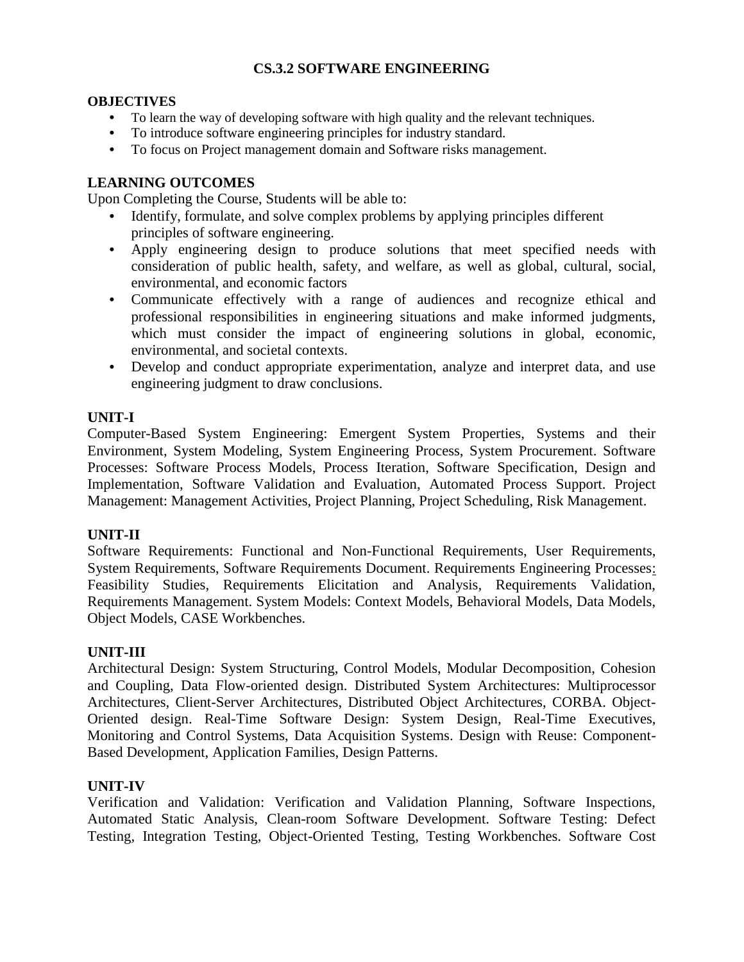# **CS.3.2 SOFTWARE ENGINEERING**

#### **OBJECTIVES**

- **•** To learn the way of developing software with high quality and the relevant techniques.
- **•** To introduce software engineering principles for industry standard.
- **•** To focus on Project management domain and Software risks management.

## **LEARNING OUTCOMES**

Upon Completing the Course, Students will be able to:

- **•** Identify, formulate, and solve complex problems by applying principles different principles of software engineering.
- **•** Apply engineering design to produce solutions that meet specified needs with consideration of public health, safety, and welfare, as well as global, cultural, social, environmental, and economic factors
- **•** Communicate effectively with a range of audiences and recognize ethical and professional responsibilities in engineering situations and make informed judgments, which must consider the impact of engineering solutions in global, economic, environmental, and societal contexts.
- **•** Develop and conduct appropriate experimentation, analyze and interpret data, and use engineering judgment to draw conclusions.

## **UNIT-I**

Computer-Based System Engineering: Emergent System Properties, Systems and their Environment, System Modeling, System Engineering Process, System Procurement. Software Processes: Software Process Models, Process Iteration, Software Specification, Design and Implementation, Software Validation and Evaluation, Automated Process Support. Project Management: Management Activities, Project Planning, Project Scheduling, Risk Management.

#### **UNIT-II**

Software Requirements: Functional and Non-Functional Requirements, User Requirements, System Requirements, Software Requirements Document. Requirements Engineering Processes: Feasibility Studies, Requirements Elicitation and Analysis, Requirements Validation, Requirements Management. System Models: Context Models, Behavioral Models, Data Models, Object Models, CASE Workbenches.

#### **UNIT-III**

Architectural Design: System Structuring, Control Models, Modular Decomposition, Cohesion and Coupling, Data Flow-oriented design. Distributed System Architectures: Multiprocessor Architectures, Client-Server Architectures, Distributed Object Architectures, CORBA. Object-Oriented design. Real-Time Software Design: System Design, Real-Time Executives, Monitoring and Control Systems, Data Acquisition Systems. Design with Reuse: Component-Based Development, Application Families, Design Patterns.

#### **UNIT-IV**

Verification and Validation: Verification and Validation Planning, Software Inspections, Automated Static Analysis, Clean-room Software Development. Software Testing: Defect Testing, Integration Testing, Object-Oriented Testing, Testing Workbenches. Software Cost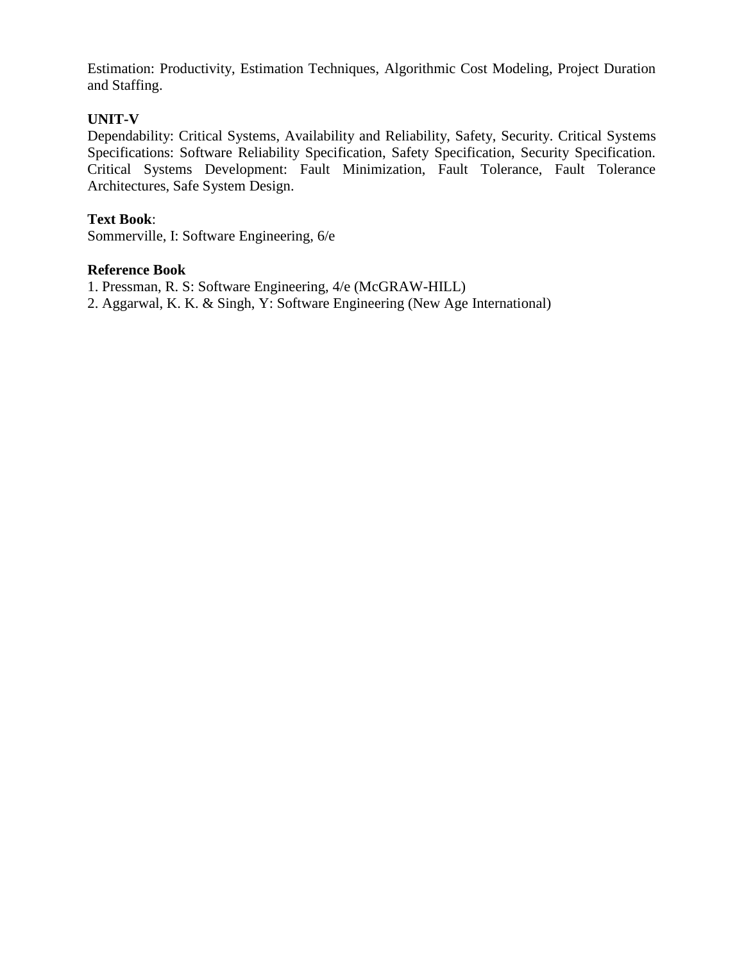Estimation: Productivity, Estimation Techniques, Algorithmic Cost Modeling, Project Duration and Staffing.

## **UNIT-V**

Dependability: Critical Systems, Availability and Reliability, Safety, Security. Critical Systems Specifications: Software Reliability Specification, Safety Specification, Security Specification. Critical Systems Development: Fault Minimization, Fault Tolerance, Fault Tolerance Architectures, Safe System Design.

## **Text Book**:

Sommerville, I: Software Engineering, 6/e

#### **Reference Book**

- 1. Pressman, R. S: Software Engineering, 4/e (McGRAW-HILL)
- 2. Aggarwal, K. K. & Singh, Y: Software Engineering (New Age International)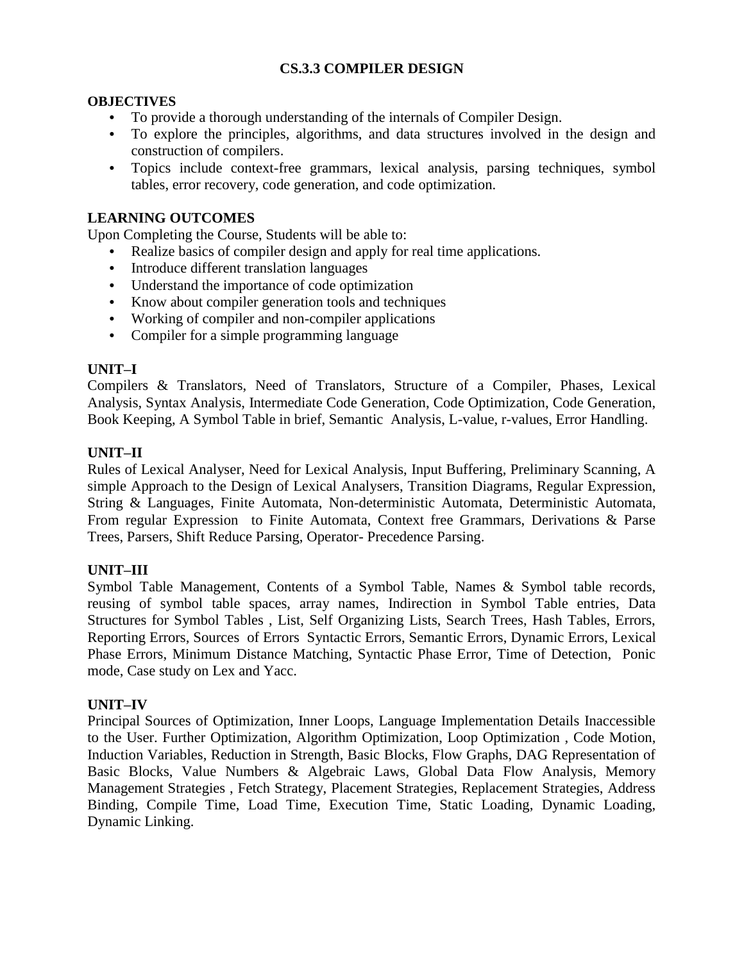## **CS.3.3 COMPILER DESIGN**

#### **OBJECTIVES**

- **•** To provide a thorough understanding of the internals of Compiler Design.
- **•** To explore the principles, algorithms, and data structures involved in the design and construction of compilers.
- **•** Topics include context-free grammars, lexical analysis, parsing techniques, symbol tables, error recovery, code generation, and code optimization.

## **LEARNING OUTCOMES**

Upon Completing the Course, Students will be able to:

- **•** Realize basics of compiler design and apply for real time applications.
- **•** Introduce different translation languages
- **•** Understand the importance of code optimization
- **•** Know about compiler generation tools and techniques
- **•** Working of compiler and non-compiler applications
- **•** Compiler for a simple programming language

#### **UNIT–I**

Compilers & Translators, Need of Translators, Structure of a Compiler, Phases, Lexical Analysis, Syntax Analysis, Intermediate Code Generation, Code Optimization, Code Generation, Book Keeping, A Symbol Table in brief, Semantic Analysis, L-value, r-values, Error Handling.

#### **UNIT–II**

Rules of Lexical Analyser, Need for Lexical Analysis, Input Buffering, Preliminary Scanning, A simple Approach to the Design of Lexical Analysers, Transition Diagrams, Regular Expression, String & Languages, Finite Automata, Non-deterministic Automata, Deterministic Automata, From regular Expression to Finite Automata, Context free Grammars, Derivations & Parse Trees, Parsers, Shift Reduce Parsing, Operator- Precedence Parsing.

#### **UNIT–III**

Symbol Table Management, Contents of a Symbol Table, Names & Symbol table records, reusing of symbol table spaces, array names, Indirection in Symbol Table entries, Data Structures for Symbol Tables , List, Self Organizing Lists, Search Trees, Hash Tables, Errors, Reporting Errors, Sources of Errors Syntactic Errors, Semantic Errors, Dynamic Errors, Lexical Phase Errors, Minimum Distance Matching, Syntactic Phase Error, Time of Detection, Ponic mode, Case study on Lex and Yacc.

#### **UNIT–IV**

Principal Sources of Optimization, Inner Loops, Language Implementation Details Inaccessible to the User. Further Optimization, Algorithm Optimization, Loop Optimization , Code Motion, Induction Variables, Reduction in Strength, Basic Blocks, Flow Graphs, DAG Representation of Basic Blocks, Value Numbers & Algebraic Laws, Global Data Flow Analysis, Memory Management Strategies , Fetch Strategy, Placement Strategies, Replacement Strategies, Address Binding, Compile Time, Load Time, Execution Time, Static Loading, Dynamic Loading, Dynamic Linking.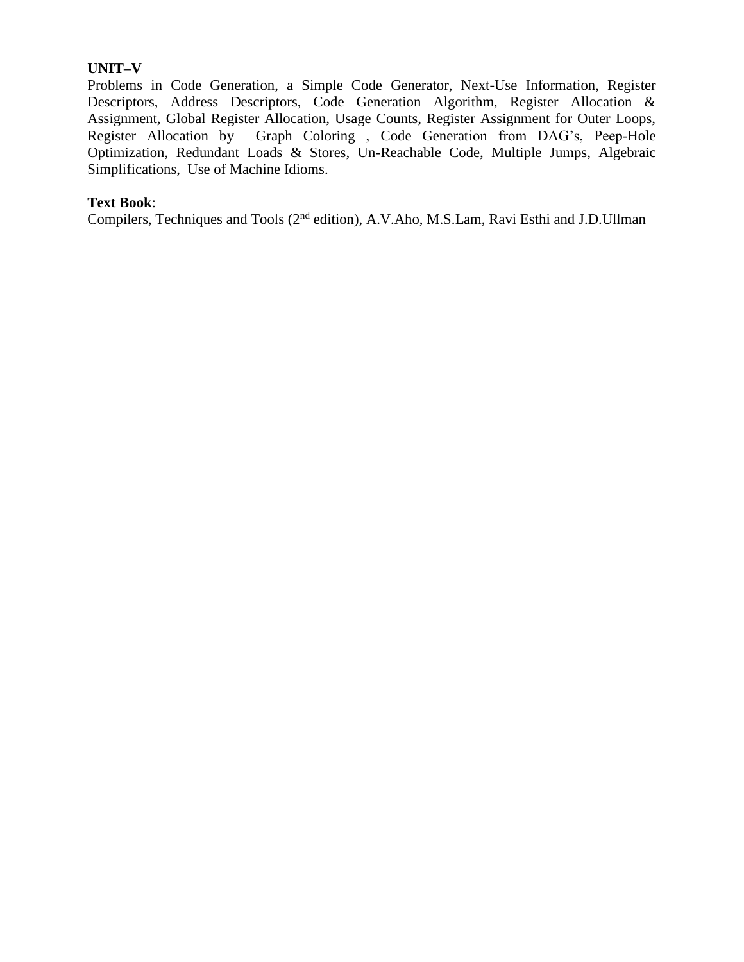## **UNIT–V**

Problems in Code Generation, a Simple Code Generator, Next-Use Information, Register Descriptors, Address Descriptors, Code Generation Algorithm, Register Allocation & Assignment, Global Register Allocation, Usage Counts, Register Assignment for Outer Loops, Register Allocation by Graph Coloring , Code Generation from DAG's, Peep-Hole Optimization, Redundant Loads & Stores, Un-Reachable Code, Multiple Jumps, Algebraic Simplifications, Use of Machine Idioms.

#### **Text Book**:

Compilers, Techniques and Tools (2<sup>nd</sup> edition), A.V.Aho, M.S.Lam, Ravi Esthi and J.D.Ullman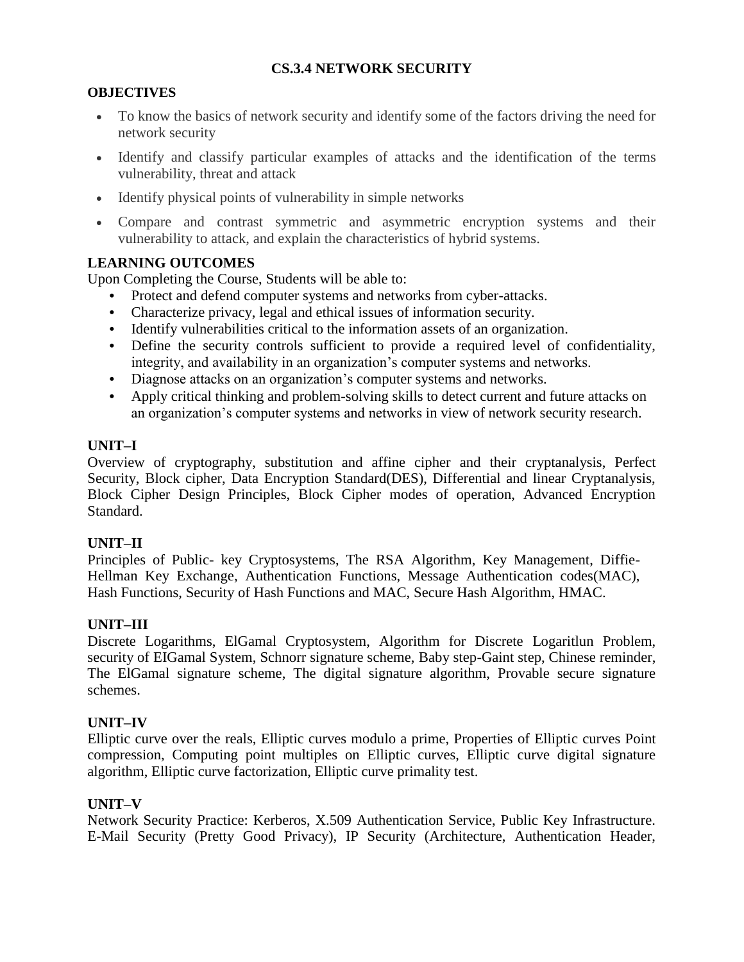# **CS.3.4 NETWORK SECURITY**

## **OBJECTIVES**

- To know the basics of network security and identify some of the factors driving the need for network security
- Identify and classify particular examples of attacks and the identification of the terms vulnerability, threat and attack
- Identify physical points of vulnerability in simple networks
- Compare and contrast symmetric and asymmetric encryption systems and their vulnerability to attack, and explain the characteristics of hybrid systems.

## **LEARNING OUTCOMES**

Upon Completing the Course, Students will be able to:

- **•** Protect and defend computer systems and networks from cyber-attacks.
- **•** Characterize privacy, legal and ethical issues of information security.
- **•** Identify vulnerabilities critical to the information assets of an organization.
- **•** Define the security controls sufficient to provide a required level of confidentiality, integrity, and availability in an organization's computer systems and networks.
- **•** Diagnose attacks on an organization's computer systems and networks.
- **•** Apply critical thinking and problem-solving skills to detect current and future attacks on an organization's computer systems and networks in view of network security research.

#### **UNIT–I**

Overview of cryptography, substitution and affine cipher and their cryptanalysis, Perfect Security, Block cipher, Data Encryption Standard(DES), Differential and linear Cryptanalysis, Block Cipher Design Principles, Block Cipher modes of operation, Advanced Encryption Standard.

#### **UNIT–II**

Principles of Public- key Cryptosystems, The RSA Algorithm, Key Management, Diffie-Hellman Key Exchange, Authentication Functions, Message Authentication codes(MAC), Hash Functions, Security of Hash Functions and MAC, Secure Hash Algorithm, HMAC.

# **UNIT–III**

Discrete Logarithms, ElGamal Cryptosystem, Algorithm for Discrete Logaritlun Problem, security of EIGamal System, Schnorr signature scheme, Baby step-Gaint step, Chinese reminder, The ElGamal signature scheme, The digital signature algorithm, Provable secure signature schemes.

# **UNIT–IV**

Elliptic curve over the reals, Elliptic curves modulo a prime, Properties of Elliptic curves Point compression, Computing point multiples on Elliptic curves, Elliptic curve digital signature algorithm, Elliptic curve factorization, Elliptic curve primality test.

#### **UNIT–V**

Network Security Practice: Kerberos, X.509 Authentication Service, Public Key Infrastructure. E-Mail Security (Pretty Good Privacy), IP Security (Architecture, Authentication Header,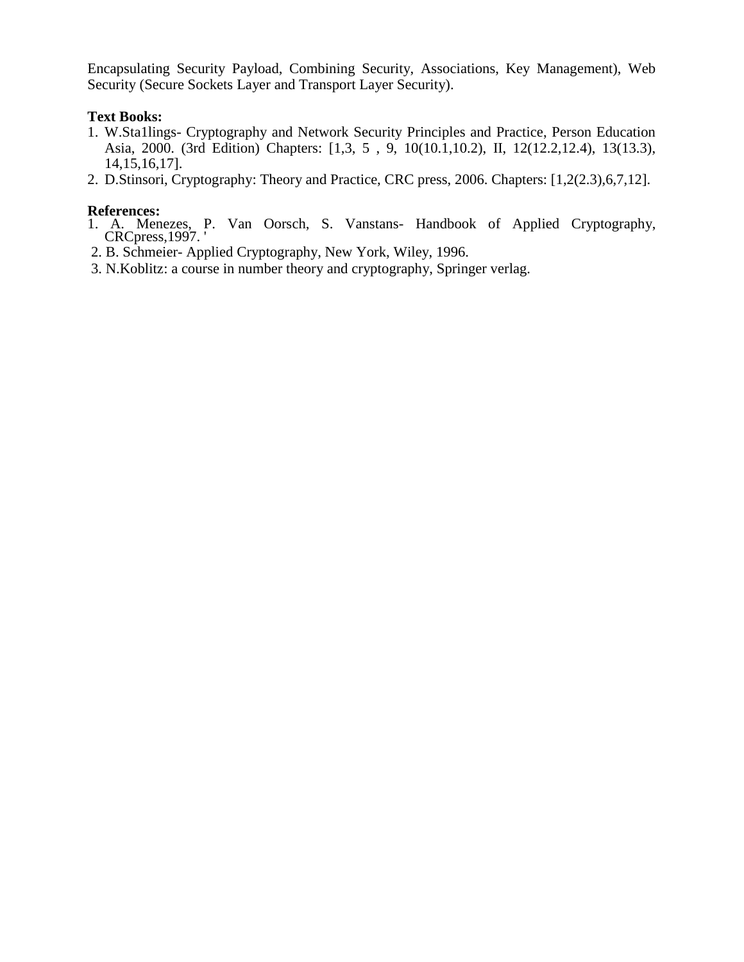Encapsulating Security Payload, Combining Security, Associations, Key Management), Web Security (Secure Sockets Layer and Transport Layer Security).

## **Text Books:**

- 1. W.Sta1lings- Cryptography and Network Security Principles and Practice, Person Education Asia, 2000. (3rd Edition) Chapters: [1,3, 5 , 9, 10(10.1,10.2), II, 12(12.2,12.4), 13(13.3), 14,15,16,17].
- 2. D.Stinsori, Cryptography: Theory and Practice, CRC press, 2006. Chapters: [1,2(2.3),6,7,12].

## **References:**

- 1. A. Menezes, P. Van Oorsch, S. Vanstans- Handbook of Applied Cryptography, CRCpress,1997. '
- 2. B. Schmeier- Applied Cryptography, New York, Wiley, 1996.
- 3. N.Koblitz: a course in number theory and cryptography, Springer verlag.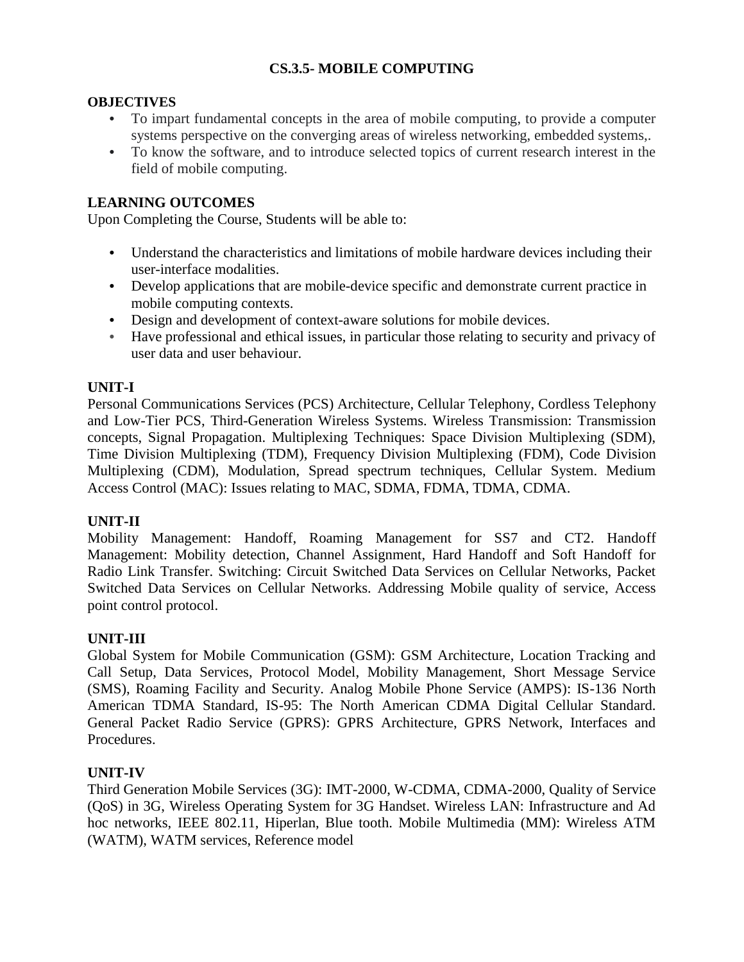# **CS.3.5- MOBILE COMPUTING**

## **OBJECTIVES**

- **•** To impart fundamental concepts in the area of mobile computing, to provide a computer systems perspective on the converging areas of wireless networking, embedded systems,.
- **•** To know the software, and to introduce selected topics of current research interest in the field of mobile computing.

## **LEARNING OUTCOMES**

Upon Completing the Course, Students will be able to:

- **•** Understand the characteristics and limitations of mobile hardware devices including their user-interface modalities.
- **•** Develop applications that are mobile-device specific and demonstrate current practice in mobile computing contexts.
- **•** Design and development of context-aware solutions for mobile devices.
- **•** Have professional and ethical issues, in particular those relating to security and privacy of user data and user behaviour.

## **UNIT-I**

Personal Communications Services (PCS) Architecture, Cellular Telephony, Cordless Telephony and Low-Tier PCS, Third-Generation Wireless Systems. Wireless Transmission: Transmission concepts, Signal Propagation. Multiplexing Techniques: Space Division Multiplexing (SDM), Time Division Multiplexing (TDM), Frequency Division Multiplexing (FDM), Code Division Multiplexing (CDM), Modulation, Spread spectrum techniques, Cellular System. Medium Access Control (MAC): Issues relating to MAC, SDMA, FDMA, TDMA, CDMA.

#### **UNIT-II**

Mobility Management: Handoff, Roaming Management for SS7 and CT2. Handoff Management: Mobility detection, Channel Assignment, Hard Handoff and Soft Handoff for Radio Link Transfer. Switching: Circuit Switched Data Services on Cellular Networks, Packet Switched Data Services on Cellular Networks. Addressing Mobile quality of service, Access point control protocol.

#### **UNIT-III**

Global System for Mobile Communication (GSM): GSM Architecture, Location Tracking and Call Setup, Data Services, Protocol Model, Mobility Management, Short Message Service (SMS), Roaming Facility and Security. Analog Mobile Phone Service (AMPS): IS-136 North American TDMA Standard, IS-95: The North American CDMA Digital Cellular Standard. General Packet Radio Service (GPRS): GPRS Architecture, GPRS Network, Interfaces and Procedures.

#### **UNIT-IV**

Third Generation Mobile Services (3G): IMT-2000, W-CDMA, CDMA-2000, Quality of Service (QoS) in 3G, Wireless Operating System for 3G Handset. Wireless LAN: Infrastructure and Ad hoc networks, IEEE 802.11, Hiperlan, Blue tooth. Mobile Multimedia (MM): Wireless ATM (WATM), WATM services, Reference model